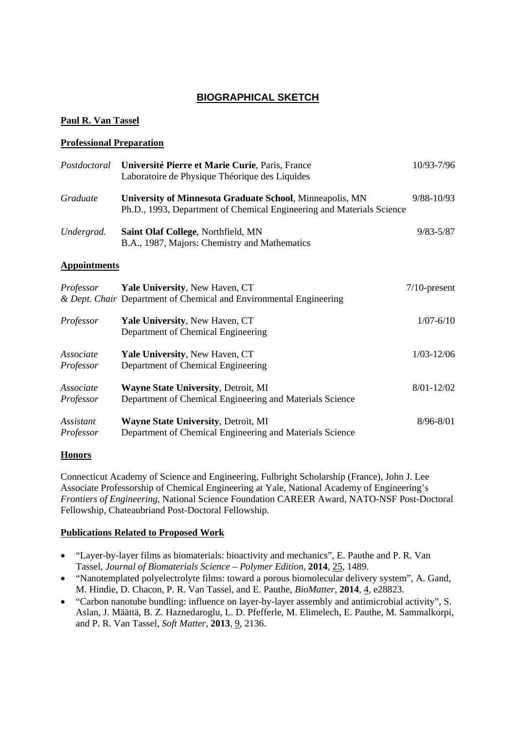# **BIOGRAPHICAL SKETCH**

#### **Paul R. Van Tassel**

#### **Professional Preparation**

| Postdoctoral           | Université Pierre et Marie Curie, Paris, France<br>Laboratoire de Physique Théorique des Liquides                                 | 10/93-7/96      |
|------------------------|-----------------------------------------------------------------------------------------------------------------------------------|-----------------|
| Graduate               | University of Minnesota Graduate School, Minneapolis, MN<br>Ph.D., 1993, Department of Chemical Engineering and Materials Science | 9/88-10/93      |
| Undergrad.             | Saint Olaf College, Northfield, MN<br>B.A., 1987, Majors: Chemistry and Mathematics                                               | $9/83 - 5/87$   |
| <b>Appointments</b>    |                                                                                                                                   |                 |
| Professor              | Yale University, New Haven, CT<br>& Dept. Chair Department of Chemical and Environmental Engineering                              | $7/10$ -present |
| Professor              | Yale University, New Haven, CT<br>Department of Chemical Engineering                                                              | $1/07 - 6/10$   |
| Associate<br>Professor | Yale University, New Haven, CT<br>Department of Chemical Engineering                                                              | $1/03 - 12/06$  |
| Associate<br>Professor | <b>Wayne State University, Detroit, MI</b><br>Department of Chemical Engineering and Materials Science                            | $8/01 - 12/02$  |
| Assistant<br>Professor | <b>Wayne State University, Detroit, MI</b><br>Department of Chemical Engineering and Materials Science                            | 8/96-8/01       |

#### **Honors**

Connecticut Academy of Science and Engineering, Fulbright Scholarship (France), John J. Lee Associate Professorship of Chemical Engineering at Yale, National Academy of Engineering's *Frontiers of Engineering*, National Science Foundation CAREER Award, NATO-NSF Post-Doctoral Fellowship, Chateaubriand Post-Doctoral Fellowship.

#### **Publications Related to Proposed Work**

- "Layer-by-layer films as biomaterials: bioactivity and mechanics", E. Pauthe and P. R. Van Tassel, *Journal of Biomaterials Science – Polymer Edition*, **2014**, 25, 1489.
- "Nanotemplated polyelectrolyte films: toward a porous biomolecular delivery system", A. Gand, M. Hindie, D. Chacon, P. R. Van Tassel, and E. Pauthe, *BioMatter*, **2014**, 4, e28823.
- "Carbon nanotube bundling: influence on layer-by-layer assembly and antimicrobial activity", S. Aslan, J. Määttä, B. Z. Haznedaroglu, L. D. Pfefferle, M. Elimelech, E. Pauthe, M. Sammalkorpi*,*  and P. R. Van Tassel, *Soft Matter*, **2013**, 9, 2136.